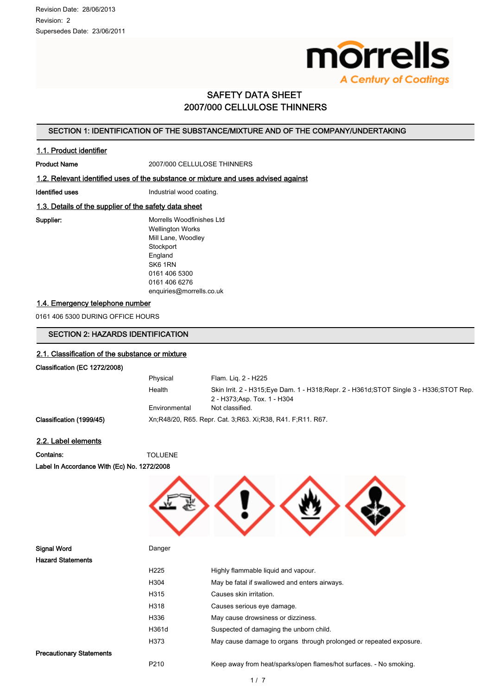

# SAFETY DATA SHEET 2007/000 CELLULOSE THINNERS

# SECTION 1: IDENTIFICATION OF THE SUBSTANCE/MIXTURE AND OF THE COMPANY/UNDERTAKING

#### 1.1. Product identifier

Product Name<br>
2007/000 CELLULOSE THINNERS

#### 1.2. Relevant identified uses of the substance or mixture and uses advised against

Identified uses **Industrial wood coating.** 

## 1.3. Details of the supplier of the safety data sheet

Supplier: Morrells Woodfinishes Ltd Wellington Works Mill Lane, Woodley **Stockport** England SK6 1RN 0161 406 5300 0161 406 6276 enquiries@morrells.co.uk

## 1.4. Emergency telephone number

0161 406 5300 DURING OFFICE HOURS

# SECTION 2: HAZARDS IDENTIFICATION

#### 2.1. Classification of the substance or mixture

#### Classification (EC 1272/2008)

| Physical                                                     | Flam. Lig. 2 - H225                                                                   |  |
|--------------------------------------------------------------|---------------------------------------------------------------------------------------|--|
| Health                                                       | Skin Irrit. 2 - H315 Eye Dam. 1 - H318 Repr. 2 - H361d STOT Single 3 - H336 STOT Rep. |  |
|                                                              | 2 - H373:Asp. Tox. 1 - H304                                                           |  |
| Environmental                                                | Not classified.                                                                       |  |
| Xn R48/20, R65, Repr. Cat. 3: R63, Xi R38, R41, F. R11, R67, |                                                                                       |  |

# Classification (1999/45)

2.2. Label elements

Contains: TOLUENE

Label In Accordance With (Ec) No. 1272/2008

| Danger           |                                                                    |
|------------------|--------------------------------------------------------------------|
|                  |                                                                    |
| H <sub>225</sub> | Highly flammable liquid and vapour.                                |
| H304             | May be fatal if swallowed and enters airways.                      |
| H315             | Causes skin irritation.                                            |
| H318             | Causes serious eye damage.                                         |
| H336             | May cause drowsiness or dizziness.                                 |
| H361d            | Suspected of damaging the unborn child.                            |
| H373             | May cause damage to organs through prolonged or repeated exposure. |
|                  |                                                                    |
| P210             | Keep away from heat/sparks/open flames/hot surfaces. - No smoking. |
|                  |                                                                    |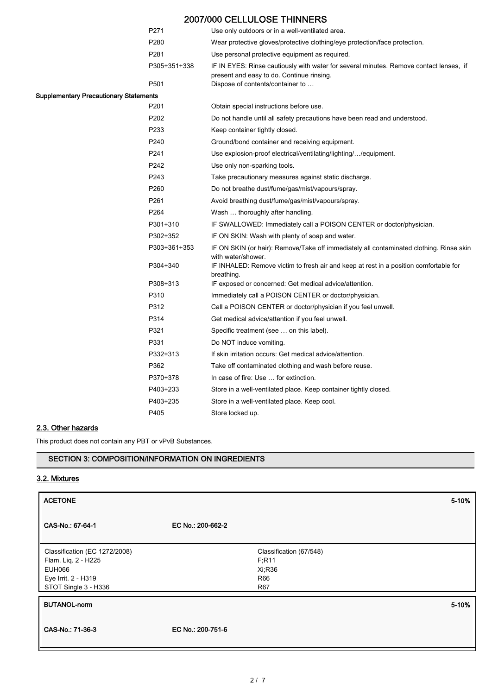|                                               | P271             | Use only outdoors or in a well-ventilated area.                                                                                     |
|-----------------------------------------------|------------------|-------------------------------------------------------------------------------------------------------------------------------------|
|                                               | P280             | Wear protective gloves/protective clothing/eye protection/face protection.                                                          |
|                                               | P281             | Use personal protective equipment as required.                                                                                      |
|                                               | P305+351+338     | IF IN EYES: Rinse cautiously with water for several minutes. Remove contact lenses, if<br>present and easy to do. Continue rinsing. |
|                                               | P501             | Dispose of contents/container to                                                                                                    |
| <b>Supplementary Precautionary Statements</b> |                  |                                                                                                                                     |
|                                               | P201             | Obtain special instructions before use.                                                                                             |
|                                               | P <sub>202</sub> | Do not handle until all safety precautions have been read and understood.                                                           |
|                                               | P233             | Keep container tightly closed.                                                                                                      |
|                                               | P240             | Ground/bond container and receiving equipment.                                                                                      |
|                                               | P241             | Use explosion-proof electrical/ventilating/lighting//equipment.                                                                     |
|                                               | P242             | Use only non-sparking tools.                                                                                                        |
|                                               | P243             | Take precautionary measures against static discharge.                                                                               |
|                                               | P <sub>260</sub> | Do not breathe dust/fume/gas/mist/vapours/spray.                                                                                    |
|                                               | P261             | Avoid breathing dust/fume/gas/mist/vapours/spray.                                                                                   |
|                                               | P264             | Wash  thoroughly after handling.                                                                                                    |
|                                               | P301+310         | IF SWALLOWED: Immediately call a POISON CENTER or doctor/physician.                                                                 |
|                                               | P302+352         | IF ON SKIN: Wash with plenty of soap and water.                                                                                     |
|                                               | P303+361+353     | IF ON SKIN (or hair): Remove/Take off immediately all contaminated clothing. Rinse skin<br>with water/shower.                       |
|                                               | P304+340         | IF INHALED: Remove victim to fresh air and keep at rest in a position comfortable for<br>breathing.                                 |
|                                               | P308+313         | IF exposed or concerned: Get medical advice/attention.                                                                              |
|                                               | P310             | Immediately call a POISON CENTER or doctor/physician.                                                                               |
|                                               | P312             | Call a POISON CENTER or doctor/physician if you feel unwell.                                                                        |
|                                               | P314             | Get medical advice/attention if you feel unwell.                                                                                    |
|                                               | P321             | Specific treatment (see  on this label).                                                                                            |
|                                               | P331             | Do NOT induce vomiting.                                                                                                             |
|                                               | P332+313         | If skin irritation occurs: Get medical advice/attention.                                                                            |
|                                               | P362             | Take off contaminated clothing and wash before reuse.                                                                               |
|                                               | P370+378         | In case of fire: Use  for extinction.                                                                                               |
|                                               | P403+233         | Store in a well-ventilated place. Keep container tightly closed.                                                                    |
|                                               | P403+235         | Store in a well-ventilated place. Keep cool.                                                                                        |
|                                               | P405             | Store locked up.                                                                                                                    |

# 2.3. Other hazards

This product does not contain any PBT or vPvB Substances.

# SECTION 3: COMPOSITION/INFORMATION ON INGREDIENTS

# 3.2. Mixtures

| <b>ACETONE</b>                                                                                                       |                   |                                                           | 5-10% |
|----------------------------------------------------------------------------------------------------------------------|-------------------|-----------------------------------------------------------|-------|
| CAS-No.: 67-64-1                                                                                                     | EC No.: 200-662-2 |                                                           |       |
| Classification (EC 1272/2008)<br>Flam. Liq. 2 - H225<br><b>EUH066</b><br>Eye Irrit. 2 - H319<br>STOT Single 3 - H336 |                   | Classification (67/548)<br>F; R11<br>Xi;R36<br>R66<br>R67 |       |
| <b>BUTANOL-norm</b>                                                                                                  |                   |                                                           | 5-10% |
| CAS-No.: 71-36-3                                                                                                     | EC No.: 200-751-6 |                                                           |       |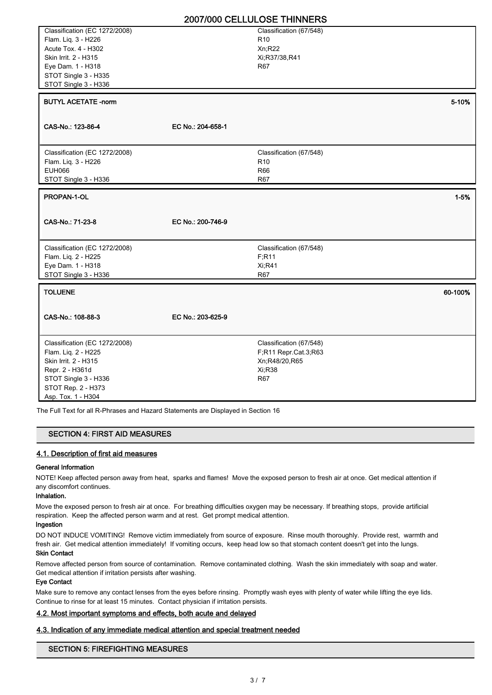| Classification (EC 1272/2008)            |                   | Classification (67/548)           |          |
|------------------------------------------|-------------------|-----------------------------------|----------|
| Flam. Liq. 3 - H226                      |                   | R <sub>10</sub>                   |          |
| Acute Tox. 4 - H302                      |                   | Xn;R22                            |          |
| Skin Irrit. 2 - H315                     |                   | Xi;R37/38,R41                     |          |
| Eye Dam. 1 - H318                        |                   | R67                               |          |
| STOT Single 3 - H335                     |                   |                                   |          |
| STOT Single 3 - H336                     |                   |                                   |          |
|                                          |                   |                                   |          |
| <b>BUTYL ACETATE -norm</b>               |                   |                                   | 5-10%    |
|                                          |                   |                                   |          |
|                                          |                   |                                   |          |
| CAS-No.: 123-86-4                        | EC No.: 204-658-1 |                                   |          |
|                                          |                   |                                   |          |
|                                          |                   |                                   |          |
| Classification (EC 1272/2008)            |                   | Classification (67/548)           |          |
| Flam. Liq. 3 - H226                      |                   | R <sub>10</sub>                   |          |
| <b>EUH066</b>                            |                   | R66                               |          |
| STOT Single 3 - H336                     |                   | R67                               |          |
| PROPAN-1-OL                              |                   |                                   | $1 - 5%$ |
|                                          |                   |                                   |          |
|                                          |                   |                                   |          |
|                                          |                   |                                   |          |
|                                          |                   |                                   |          |
| CAS-No.: 71-23-8                         | EC No.: 200-746-9 |                                   |          |
|                                          |                   |                                   |          |
| Classification (EC 1272/2008)            |                   |                                   |          |
|                                          |                   | Classification (67/548)<br>F; R11 |          |
| Flam. Liq. 2 - H225                      |                   | <b>Xi:R41</b>                     |          |
| Eye Dam. 1 - H318                        |                   |                                   |          |
| STOT Single 3 - H336                     |                   | R67                               |          |
| <b>TOLUENE</b>                           |                   |                                   | 60-100%  |
|                                          |                   |                                   |          |
|                                          |                   |                                   |          |
| CAS-No.: 108-88-3                        | EC No.: 203-625-9 |                                   |          |
|                                          |                   |                                   |          |
|                                          |                   |                                   |          |
| Classification (EC 1272/2008)            |                   | Classification (67/548)           |          |
| Flam. Liq. 2 - H225                      |                   | F;R11 Repr.Cat.3,R63              |          |
| Skin Irrit. 2 - H315                     |                   | Xn;R48/20,R65                     |          |
| Repr. 2 - H361d                          |                   | Xi;R38                            |          |
| STOT Single 3 - H336                     |                   | <b>R67</b>                        |          |
| STOT Rep. 2 - H373<br>Asp. Tox. 1 - H304 |                   |                                   |          |

The Full Text for all R-Phrases and Hazard Statements are Displayed in Section 16

# SECTION 4: FIRST AID MEASURES

# 4.1. Description of first aid measures

## General Information

NOTE! Keep affected person away from heat, sparks and flames! Move the exposed person to fresh air at once. Get medical attention if any discomfort continues.

# Inhalation.

Move the exposed person to fresh air at once. For breathing difficulties oxygen may be necessary. If breathing stops, provide artificial respiration. Keep the affected person warm and at rest. Get prompt medical attention.

## Ingestion

DO NOT INDUCE VOMITING! Remove victim immediately from source of exposure. Rinse mouth thoroughly. Provide rest, warmth and fresh air. Get medical attention immediately! If vomiting occurs, keep head low so that stomach content doesn't get into the lungs.

# Skin Contact

Remove affected person from source of contamination. Remove contaminated clothing. Wash the skin immediately with soap and water. Get medical attention if irritation persists after washing.

#### Eye Contact

Make sure to remove any contact lenses from the eyes before rinsing. Promptly wash eyes with plenty of water while lifting the eye lids. Continue to rinse for at least 15 minutes. Contact physician if irritation persists.

#### 4.2. Most important symptoms and effects, both acute and delayed

#### 4.3. Indication of any immediate medical attention and special treatment needed

## SECTION 5: FIREFIGHTING MEASURES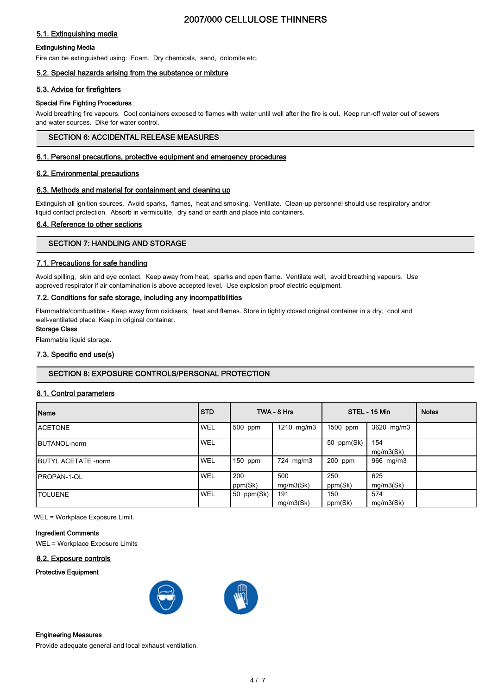# 5.1. Extinguishing media

#### Extinguishing Media

Fire can be extinguished using: Foam. Dry chemicals, sand, dolomite etc.

## 5.2. Special hazards arising from the substance or mixture

#### 5.3. Advice for firefighters

#### Special Fire Fighting Procedures

Avoid breathing fire vapours. Cool containers exposed to flames with water until well after the fire is out. Keep run-off water out of sewers and water sources. Dike for water control.

# SECTION 6: ACCIDENTAL RELEASE MEASURES

#### 6.1. Personal precautions, protective equipment and emergency procedures

#### 6.2. Environmental precautions

#### 6.3. Methods and material for containment and cleaning up

Extinguish all ignition sources. Avoid sparks, flames, heat and smoking. Ventilate. Clean-up personnel should use respiratory and/or liquid contact protection. Absorb in vermiculite, dry sand or earth and place into containers.

#### 6.4. Reference to other sections

## SECTION 7: HANDLING AND STORAGE

#### 7.1. Precautions for safe handling

Avoid spilling, skin and eye contact. Keep away from heat, sparks and open flame. Ventilate well, avoid breathing vapours. Use approved respirator if air contamination is above accepted level. Use explosion proof electric equipment.

#### 7.2. Conditions for safe storage, including any incompatibilities

Flammable/combustible - Keep away from oxidisers, heat and flames. Store in tightly closed original container in a dry, cool and well-ventilated place. Keep in original container.

#### Storage Class

Flammable liquid storage.

## 7.3. Specific end use(s)

## SECTION 8: EXPOSURE CONTROLS/PERSONAL PROTECTION

## 8.1. Control parameters

| Name                        | <b>STD</b> |                | TWA - 8 Hrs      |                | STEL - 15 Min    | <b>Notes</b> |
|-----------------------------|------------|----------------|------------------|----------------|------------------|--------------|
| <b>ACETONE</b>              | WEL        | 500 ppm        | 1210 mg/m3       | 1500 ppm       | 3620 mg/m3       |              |
| <b>IBUTANOL-norm</b>        | <b>WEL</b> |                |                  | 50 ppm(Sk)     | 154<br>mg/m3(Sk) |              |
| <b>IBUTYL ACETATE -norm</b> | WEL        | $150$ ppm      | 724 mg/m3        | 200 ppm        | 966 mg/m3        |              |
| <b>IPROPAN-1-OL</b>         | <b>WEL</b> | 200<br>ppm(Sk) | 500<br>mg/m3(Sk) | 250<br>ppm(Sk) | 625<br>mg/m3(Sk) |              |
| <b>TOLUENE</b>              | WEL        | 50 ppm(Sk)     | 191<br>mq/m3(Sk) | 150<br>ppm(Sk) | 574<br>mg/m3(Sk) |              |

WEL = Workplace Exposure Limit.

#### Ingredient Comments

WEL = Workplace Exposure Limits

#### 8.2. Exposure controls

#### Protective Equipment





#### Engineering Measures

Provide adequate general and local exhaust ventilation.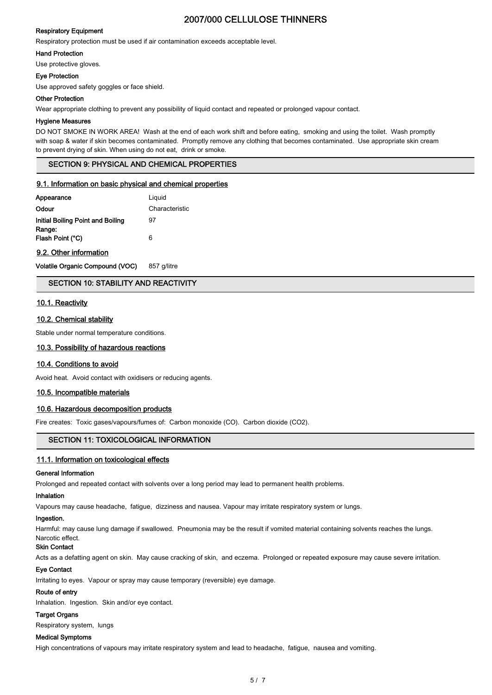#### Respiratory Equipment

Respiratory protection must be used if air contamination exceeds acceptable level.

#### Hand Protection

Use protective gloves.

#### Eye Protection

Use approved safety goggles or face shield.

#### Other Protection

Wear appropriate clothing to prevent any possibility of liquid contact and repeated or prolonged vapour contact.

#### Hygiene Measures

DO NOT SMOKE IN WORK AREA! Wash at the end of each work shift and before eating, smoking and using the toilet. Wash promptly with soap & water if skin becomes contaminated. Promptly remove any clothing that becomes contaminated. Use appropriate skin cream to prevent drying of skin. When using do not eat, drink or smoke.

#### SECTION 9: PHYSICAL AND CHEMICAL PROPERTIES

#### 9.1. Information on basic physical and chemical properties

| Appearance                        | Liguid         |
|-----------------------------------|----------------|
| Odour                             | Characteristic |
| Initial Boiling Point and Boiling | 97             |
| Range:<br>Flash Point (°C)        | 6              |

#### 9.2. Other information

Volatile Organic Compound (VOC) 857 g/litre

## SECTION 10: STABILITY AND REACTIVITY

#### 10.1. Reactivity

#### 10.2. Chemical stability

Stable under normal temperature conditions.

#### 10.3. Possibility of hazardous reactions

#### 10.4. Conditions to avoid

Avoid heat. Avoid contact with oxidisers or reducing agents.

#### 10.5. Incompatible materials

#### 10.6. Hazardous decomposition products

Fire creates: Toxic gases/vapours/fumes of: Carbon monoxide (CO). Carbon dioxide (CO2).

## SECTION 11: TOXICOLOGICAL INFORMATION

#### 11.1. Information on toxicological effects

#### General Information

Prolonged and repeated contact with solvents over a long period may lead to permanent health problems.

#### Inhalation

Vapours may cause headache, fatigue, dizziness and nausea. Vapour may irritate respiratory system or lungs.

## Ingestion.

Harmful: may cause lung damage if swallowed. Pneumonia may be the result if vomited material containing solvents reaches the lungs.

#### Narcotic effect. Skin Contact

Acts as a defatting agent on skin. May cause cracking of skin, and eczema. Prolonged or repeated exposure may cause severe irritation.

## Eye Contact

Irritating to eyes. Vapour or spray may cause temporary (reversible) eye damage.

## Route of entry

Inhalation. Ingestion. Skin and/or eye contact.

## Target Organs

Respiratory system, lungs

# Medical Symptoms

High concentrations of vapours may irritate respiratory system and lead to headache, fatigue, nausea and vomiting.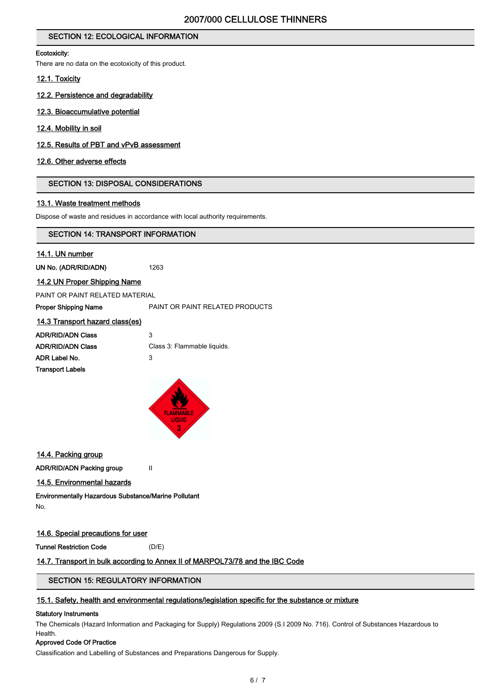# SECTION 12: ECOLOGICAL INFORMATION

#### Ecotoxicity:

There are no data on the ecotoxicity of this product.

#### 12.1. Toxicity

- 12.2. Persistence and degradability
- 12.3. Bioaccumulative potential
- 12.4. Mobility in soil
- 12.5. Results of PBT and vPvB assessment

#### 12.6. Other adverse effects

## SECTION 13: DISPOSAL CONSIDERATIONS

#### 13.1. Waste treatment methods

Dispose of waste and residues in accordance with local authority requirements.

#### SECTION 14: TRANSPORT INFORMATION

#### 14.1. UN number

UN No. (ADR/RID/ADN) 1263

#### 14.2 UN Proper Shipping Name

PAINT OR PAINT RELATED MATERIAL

Proper Shipping Name **PAINT OR PAINT RELATED PRODUCTS** 

| 14.3 Transport hazard class(es) |                             |
|---------------------------------|-----------------------------|
| <b>ADR/RID/ADN Class</b>        | 3                           |
| <b>ADR/RID/ADN Class</b>        | Class 3: Flammable liquids. |
| ADR Label No.                   | 3                           |
| <b>Transport Labels</b>         |                             |
|                                 |                             |



## 14.4. Packing group

ADR/RID/ADN Packing group II

#### 14.5. Environmental hazards

Environmentally Hazardous Substance/Marine Pollutant No.

# 14.6. Special precautions for user

Tunnel Restriction Code (D/E)

## 14.7. Transport in bulk according to Annex II of MARPOL73/78 and the IBC Code

# SECTION 15: REGULATORY INFORMATION

#### 15.1. Safety, health and environmental regulations/legislation specific for the substance or mixture

#### Statutory Instruments

The Chemicals (Hazard Information and Packaging for Supply) Regulations 2009 (S.I 2009 No. 716). Control of Substances Hazardous to Health.

## Approved Code Of Practice

Classification and Labelling of Substances and Preparations Dangerous for Supply.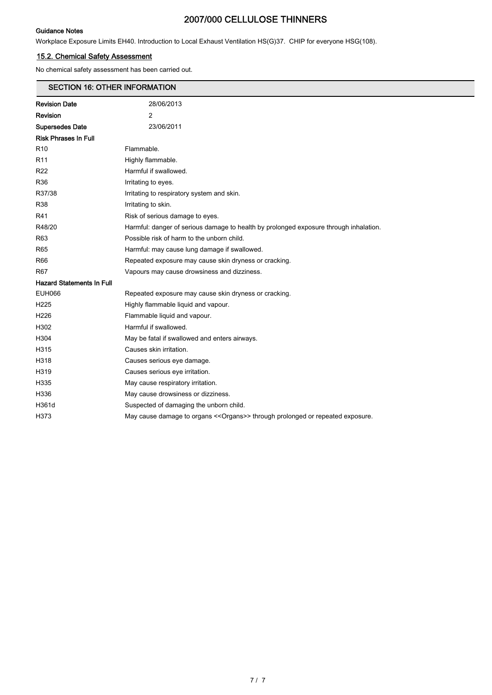#### Guidance Notes

Workplace Exposure Limits EH40. Introduction to Local Exhaust Ventilation HS(G)37. CHIP for everyone HSG(108).

# 15.2. Chemical Safety Assessment

No chemical safety assessment has been carried out.

# SECTION 16: OTHER INFORMATION

| <b>Revision Date</b>             | 28/06/2013                                                                            |
|----------------------------------|---------------------------------------------------------------------------------------|
| Revision                         | 2                                                                                     |
| <b>Supersedes Date</b>           | 23/06/2011                                                                            |
| <b>Risk Phrases In Full</b>      |                                                                                       |
| R10                              | Flammable.                                                                            |
| R11                              | Highly flammable.                                                                     |
| R22                              | Harmful if swallowed.                                                                 |
| R36                              | Irritating to eyes.                                                                   |
| R37/38                           | Irritating to respiratory system and skin.                                            |
| R38                              | Irritating to skin.                                                                   |
| R41                              | Risk of serious damage to eyes.                                                       |
| R48/20                           | Harmful: danger of serious damage to health by prolonged exposure through inhalation. |
| R63                              | Possible risk of harm to the unborn child.                                            |
| R65                              | Harmful: may cause lung damage if swallowed.                                          |
| R66                              | Repeated exposure may cause skin dryness or cracking.                                 |
| R67                              | Vapours may cause drowsiness and dizziness.                                           |
| <b>Hazard Statements In Full</b> |                                                                                       |
| EUH066                           | Repeated exposure may cause skin dryness or cracking.                                 |
| H225                             | Highly flammable liquid and vapour.                                                   |
| H226                             | Flammable liquid and vapour.                                                          |
| H302                             | Harmful if swallowed.                                                                 |
| H304                             | May be fatal if swallowed and enters airways.                                         |
| H315                             | Causes skin irritation.                                                               |
| H318                             | Causes serious eye damage.                                                            |
| H319                             | Causes serious eye irritation.                                                        |
| H335                             | May cause respiratory irritation.                                                     |
| H336                             | May cause drowsiness or dizziness.                                                    |
| H361d                            | Suspected of damaging the unborn child.                                               |
| H373                             | May cause damage to organs << Organs>> through prolonged or repeated exposure.        |
|                                  |                                                                                       |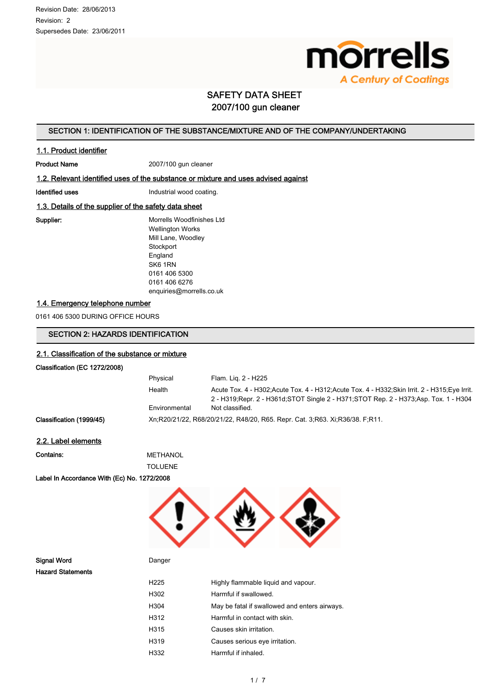

# SAFETY DATA SHEET 2007/100 gun cleaner

# SECTION 1: IDENTIFICATION OF THE SUBSTANCE/MIXTURE AND OF THE COMPANY/UNDERTAKING

#### 1.1. Product identifier

Product Name 2007/100 gun cleaner

#### 1.2. Relevant identified uses of the substance or mixture and uses advised against

Identified uses **Industrial wood coating.** 

# 1.3. Details of the supplier of the safety data sheet

Supplier: Morrells Woodfinishes Ltd Wellington Works Mill Lane, Woodley **Stockport** England SK6 1RN 0161 406 5300 0161 406 6276 enquiries@morrells.co.uk

# 1.4. Emergency telephone number

0161 406 5300 DURING OFFICE HOURS

# SECTION 2: HAZARDS IDENTIFICATION

#### 2.1. Classification of the substance or mixture

# Classification (EC 1272/2008)

|                          | Physical      | Flam. Lig. 2 - H225                                                                                                                                                                        |
|--------------------------|---------------|--------------------------------------------------------------------------------------------------------------------------------------------------------------------------------------------|
|                          | Health        | Acute Tox. 4 - H302; Acute Tox. 4 - H312; Acute Tox. 4 - H332; Skin Irrit. 2 - H315; Eve Irrit.<br>2 - H319; Repr. 2 - H361d; STOT Single 2 - H371; STOT Rep. 2 - H373; Asp. Tox. 1 - H304 |
|                          | Environmental | Not classified.                                                                                                                                                                            |
| Classification (1999/45) |               | Xn;R20/21/22, R68/20/21/22, R48/20, R65. Repr. Cat. 3;R63. Xi;R36/38. F;R11.                                                                                                               |

#### 2.2. Label elements

Contains: METHANOL

TOLUENE

Label In Accordance With (Ec) No. 1272/2008



Signal Word **Danger** Danger Hazard Statements

| H225 | Highly flammable liquid and vapour.           |
|------|-----------------------------------------------|
| H302 | Harmful if swallowed.                         |
| H304 | May be fatal if swallowed and enters airways. |
| H312 | Harmful in contact with skin.                 |
| H315 | Causes skin irritation.                       |
| H319 | Causes serious eye irritation.                |
| H332 | Harmful if inhaled.                           |
|      |                                               |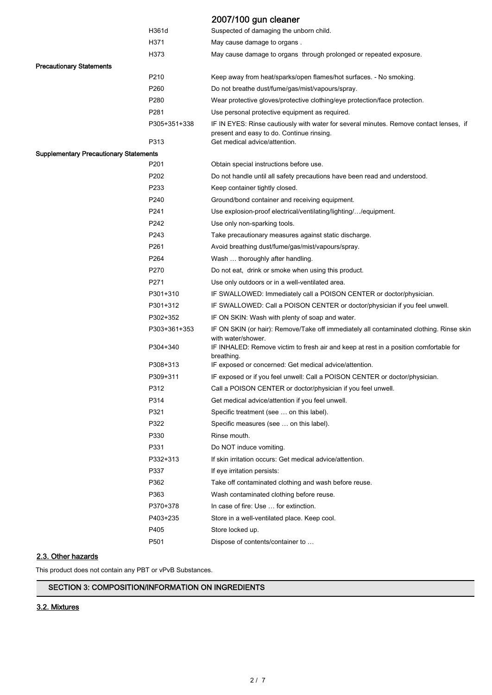|                                               |              | 2007/100 gun cleaner                                                                                                                |
|-----------------------------------------------|--------------|-------------------------------------------------------------------------------------------------------------------------------------|
|                                               | H361d        | Suspected of damaging the unborn child.                                                                                             |
|                                               | H371         | May cause damage to organs.                                                                                                         |
|                                               | H373         | May cause damage to organs through prolonged or repeated exposure.                                                                  |
| <b>Precautionary Statements</b>               |              |                                                                                                                                     |
|                                               | P210         | Keep away from heat/sparks/open flames/hot surfaces. - No smoking.                                                                  |
|                                               | P260         | Do not breathe dust/fume/gas/mist/vapours/spray.                                                                                    |
|                                               | P280         | Wear protective gloves/protective clothing/eye protection/face protection.                                                          |
|                                               | P281         | Use personal protective equipment as required.                                                                                      |
|                                               | P305+351+338 | IF IN EYES: Rinse cautiously with water for several minutes. Remove contact lenses, if<br>present and easy to do. Continue rinsing. |
|                                               | P313         | Get medical advice/attention.                                                                                                       |
| <b>Supplementary Precautionary Statements</b> |              |                                                                                                                                     |
|                                               | P201         | Obtain special instructions before use.                                                                                             |
|                                               | P202         | Do not handle until all safety precautions have been read and understood.                                                           |
|                                               | P233         | Keep container tightly closed.                                                                                                      |
|                                               | P240         | Ground/bond container and receiving equipment.                                                                                      |
|                                               | P241         | Use explosion-proof electrical/ventilating/lighting//equipment.                                                                     |
|                                               | P242         | Use only non-sparking tools.                                                                                                        |
|                                               | P243         | Take precautionary measures against static discharge.                                                                               |
|                                               | P261         | Avoid breathing dust/fume/gas/mist/vapours/spray.                                                                                   |
|                                               | P264         | Wash  thoroughly after handling.                                                                                                    |
|                                               | P270         | Do not eat, drink or smoke when using this product.                                                                                 |
|                                               | P271         | Use only outdoors or in a well-ventilated area.                                                                                     |
|                                               | P301+310     | IF SWALLOWED: Immediately call a POISON CENTER or doctor/physician.                                                                 |
|                                               | P301+312     | IF SWALLOWED: Call a POISON CENTER or doctor/physician if you feel unwell.                                                          |
|                                               | P302+352     | IF ON SKIN: Wash with plenty of soap and water.                                                                                     |
|                                               | P303+361+353 | IF ON SKIN (or hair): Remove/Take off immediately all contaminated clothing. Rinse skin<br>with water/shower.                       |
|                                               | P304+340     | IF INHALED: Remove victim to fresh air and keep at rest in a position comfortable for<br>breathing.                                 |
|                                               | P308+313     | IF exposed or concerned: Get medical advice/attention.                                                                              |
|                                               | P309+311     | IF exposed or if you feel unwell: Call a POISON CENTER or doctor/physician.                                                         |
|                                               | P312         | Call a POISON CENTER or doctor/physician if you feel unwell.                                                                        |
|                                               | P314         | Get medical advice/attention if you feel unwell.                                                                                    |
|                                               | P321         | Specific treatment (see  on this label).                                                                                            |
|                                               | P322         | Specific measures (see  on this label).                                                                                             |
|                                               | P330         | Rinse mouth.                                                                                                                        |
|                                               | P331         | Do NOT induce vomiting.                                                                                                             |
|                                               | P332+313     | If skin irritation occurs: Get medical advice/attention.                                                                            |
|                                               | P337         | If eye irritation persists:                                                                                                         |
|                                               | P362         | Take off contaminated clothing and wash before reuse.                                                                               |
|                                               | P363         | Wash contaminated clothing before reuse.                                                                                            |
|                                               | P370+378     | In case of fire: Use  for extinction.                                                                                               |
|                                               | P403+235     | Store in a well-ventilated place. Keep cool.                                                                                        |
|                                               | P405         | Store locked up.                                                                                                                    |
|                                               | P501         | Dispose of contents/container to                                                                                                    |

# 2.3. Other hazards

This product does not contain any PBT or vPvB Substances.

# SECTION 3: COMPOSITION/INFORMATION ON INGREDIENTS

# 3.2. Mixtures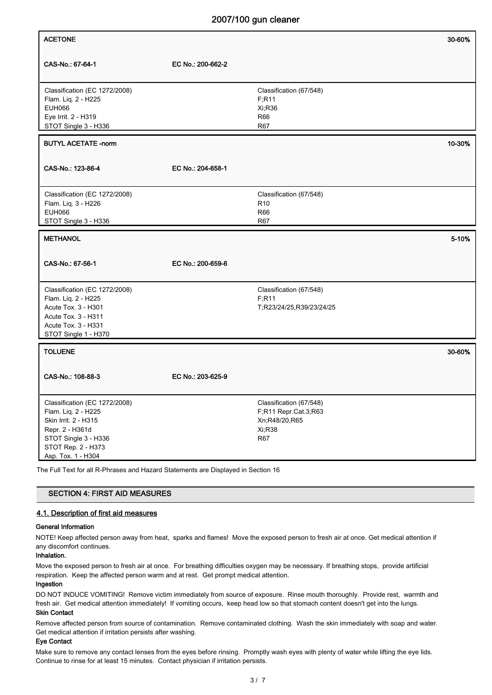| <b>ACETONE</b>                                                                                                                                                                                                                                           |                   |                                                                                          | 30-60% |
|----------------------------------------------------------------------------------------------------------------------------------------------------------------------------------------------------------------------------------------------------------|-------------------|------------------------------------------------------------------------------------------|--------|
| CAS-No.: 67-64-1                                                                                                                                                                                                                                         | EC No.: 200-662-2 |                                                                                          |        |
| Classification (EC 1272/2008)<br>Flam. Liq. 2 - H225<br>EUH066<br>Eye Irrit. 2 - H319<br>STOT Single 3 - H336                                                                                                                                            |                   | Classification (67/548)<br>F;R11<br>Xi;R36<br>R66<br><b>R67</b>                          |        |
| <b>BUTYL ACETATE -norm</b>                                                                                                                                                                                                                               |                   |                                                                                          | 10-30% |
| CAS-No.: 123-86-4                                                                                                                                                                                                                                        | EC No.: 204-658-1 |                                                                                          |        |
| Classification (EC 1272/2008)<br>Flam. Liq. 3 - H226<br>EUH066<br>STOT Single 3 - H336                                                                                                                                                                   |                   | Classification (67/548)<br>R <sub>10</sub><br>R66<br>R67                                 |        |
| <b>METHANOL</b>                                                                                                                                                                                                                                          |                   |                                                                                          | 5-10%  |
| CAS-No.: 67-56-1                                                                                                                                                                                                                                         | EC No.: 200-659-6 |                                                                                          |        |
| Classification (EC 1272/2008)<br>Flam. Liq. 2 - H225<br>Acute Tox. 3 - H301<br>Acute Tox. 3 - H311<br>Acute Tox. 3 - H331<br>STOT Single 1 - H370                                                                                                        |                   | Classification (67/548)<br>F; R11<br>T;R23/24/25,R39/23/24/25                            |        |
| <b>TOLUENE</b>                                                                                                                                                                                                                                           |                   |                                                                                          | 30-60% |
| CAS-No.: 108-88-3                                                                                                                                                                                                                                        | EC No.: 203-625-9 |                                                                                          |        |
| Classification (EC 1272/2008)<br>Flam. Liq. 2 - H225<br>Skin Irrit. 2 - H315<br>Repr. 2 - H361d<br>STOT Single 3 - H336<br>STOT Rep. 2 - H373<br>Asp. Tox. 1 - H304<br>The Full Text for all R-Phrases and Hazard Statements are Displayed in Section 16 |                   | Classification (67/548)<br>F,R11 Repr.Cat.3,R63<br>Xn;R48/20,R65<br>Xi;R38<br><b>R67</b> |        |

## SECTION 4: FIRST AID MEASURES

#### 4.1. Description of first aid measures

#### General Information

NOTE! Keep affected person away from heat, sparks and flames! Move the exposed person to fresh air at once. Get medical attention if any discomfort continues.

#### Inhalation.

Move the exposed person to fresh air at once. For breathing difficulties oxygen may be necessary. If breathing stops, provide artificial respiration. Keep the affected person warm and at rest. Get prompt medical attention.

#### Ingestion

DO NOT INDUCE VOMITING! Remove victim immediately from source of exposure. Rinse mouth thoroughly. Provide rest, warmth and fresh air. Get medical attention immediately! If vomiting occurs, keep head low so that stomach content doesn't get into the lungs.

# Skin Contact

Remove affected person from source of contamination. Remove contaminated clothing. Wash the skin immediately with soap and water. Get medical attention if irritation persists after washing.

#### Eye Contact

Make sure to remove any contact lenses from the eyes before rinsing. Promptly wash eyes with plenty of water while lifting the eye lids. Continue to rinse for at least 15 minutes. Contact physician if irritation persists.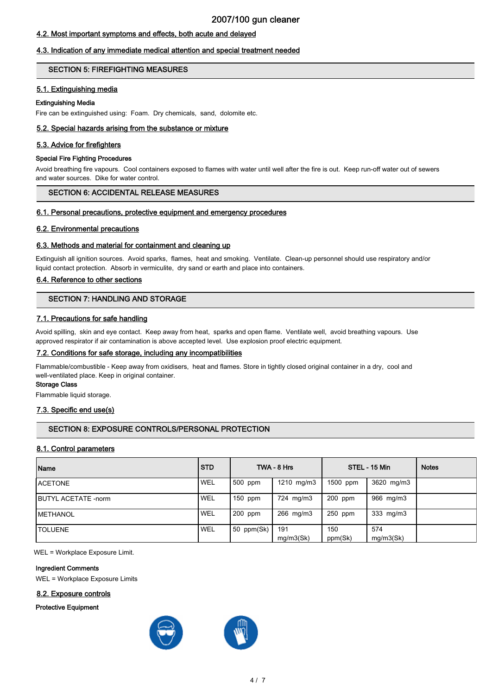# 4.2. Most important symptoms and effects, both acute and delayed

## 4.3. Indication of any immediate medical attention and special treatment needed

#### SECTION 5: FIREFIGHTING MEASURES

#### 5.1. Extinguishing media

#### Extinguishing Media

Fire can be extinguished using: Foam. Dry chemicals, sand, dolomite etc.

#### 5.2. Special hazards arising from the substance or mixture

#### 5.3. Advice for firefighters

#### Special Fire Fighting Procedures

Avoid breathing fire vapours. Cool containers exposed to flames with water until well after the fire is out. Keep run-off water out of sewers and water sources. Dike for water control.

## SECTION 6: ACCIDENTAL RELEASE MEASURES

#### 6.1. Personal precautions, protective equipment and emergency procedures

#### 6.2. Environmental precautions

#### 6.3. Methods and material for containment and cleaning up

Extinguish all ignition sources. Avoid sparks, flames, heat and smoking. Ventilate. Clean-up personnel should use respiratory and/or liquid contact protection. Absorb in vermiculite, dry sand or earth and place into containers.

#### 6.4. Reference to other sections

#### SECTION 7: HANDLING AND STORAGE

#### 7.1. Precautions for safe handling

Avoid spilling, skin and eye contact. Keep away from heat, sparks and open flame. Ventilate well, avoid breathing vapours. Use approved respirator if air contamination is above accepted level. Use explosion proof electric equipment.

#### 7.2. Conditions for safe storage, including any incompatibilities

Flammable/combustible - Keep away from oxidisers, heat and flames. Store in tightly closed original container in a dry, cool and well-ventilated place. Keep in original container.

#### Storage Class

Flammable liquid storage.

#### 7.3. Specific end use(s)

#### SECTION 8: EXPOSURE CONTROLS/PERSONAL PROTECTION

#### 8.1. Control parameters

| Name                        | <b>STD</b> |            | TWA - 8 Hrs      |                | STEL - 15 Min    | <b>Notes</b> |
|-----------------------------|------------|------------|------------------|----------------|------------------|--------------|
| <b>IACETONE</b>             | WEL        | 1500 ppm   | 1210 mg/m3       | 1500 ppm       | 3620 mg/m3       |              |
| <b>IBUTYL ACETATE -norm</b> | WEL        | $150$ ppm  | 724 mg/m3        | $200$ ppm      | 966 mg/m3        |              |
| <b>IMETHANOL</b>            | <b>WEL</b> | $200$ ppm  | 266 mg/m3        | $250$ ppm      | 333 mg/m3        |              |
| ITOLUENE                    | WEL        | 50 ppm(Sk) | 191<br>mg/m3(Sk) | 150<br>ppm(Sk) | 574<br>mg/m3(Sk) |              |

WEL = Workplace Exposure Limit.

#### Ingredient Comments

WEL = Workplace Exposure Limits

#### 8.2. Exposure controls

#### Protective Equipment

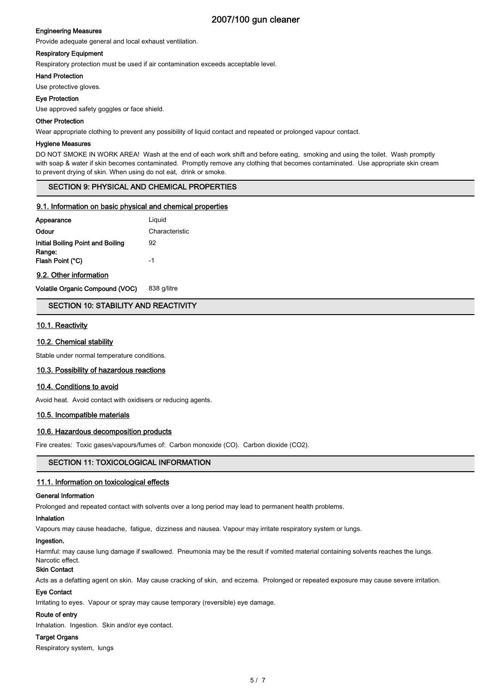#### Engineering Measures

Provide adequate general and local exhaust ventilation.

#### Respiratory Equipment

Respiratory protection must be used if air contamination exceeds acceptable level.

#### Hand Protection

Use protective gloves.

#### Eye Protection

Use approved safety goggles or face shield.

#### Other Protection

Wear appropriate clothing to prevent any possibility of liquid contact and repeated or prolonged vapour contact.

#### Hygiene Measures

DO NOT SMOKE IN WORK AREA! Wash at the end of each work shift and before eating, smoking and using the toilet. Wash promptly with soap & water if skin becomes contaminated. Promptly remove any clothing that becomes contaminated. Use appropriate skin cream to prevent drying of skin. When using do not eat, drink or smoke.

## SECTION 9: PHYSICAL AND CHEMICAL PROPERTIES

#### 9.1. Information on basic physical and chemical properties

| Appearance                        | Liguid         |
|-----------------------------------|----------------|
| Odour                             | Characteristic |
| Initial Boiling Point and Boiling | 92             |
| Range:<br>Flash Point (°C)        | -1             |
|                                   |                |

9.2. Other information

Volatile Organic Compound (VOC) 838 g/litre

#### SECTION 10: STABILITY AND REACTIVITY

## 10.1. Reactivity

#### 10.2. Chemical stability

Stable under normal temperature conditions.

#### 10.3. Possibility of hazardous reactions

#### 10.4. Conditions to avoid

Avoid heat. Avoid contact with oxidisers or reducing agents.

#### 10.5. Incompatible materials

#### 10.6. Hazardous decomposition products

Fire creates: Toxic gases/vapours/fumes of: Carbon monoxide (CO). Carbon dioxide (CO2).

## SECTION 11: TOXICOLOGICAL INFORMATION

#### 11.1. Information on toxicological effects

#### General Information

Prolonged and repeated contact with solvents over a long period may lead to permanent health problems.

#### Inhalation

Vapours may cause headache, fatigue, dizziness and nausea. Vapour may irritate respiratory system or lungs.

#### Ingestion.

Harmful: may cause lung damage if swallowed. Pneumonia may be the result if vomited material containing solvents reaches the lungs. Narcotic effect.

#### Skin Contact

Acts as a defatting agent on skin. May cause cracking of skin, and eczema. Prolonged or repeated exposure may cause severe irritation.

#### Eye Contact

Irritating to eyes. Vapour or spray may cause temporary (reversible) eye damage.

#### Route of entry

Inhalation. Ingestion. Skin and/or eye contact.

#### Target Organs

Respiratory system, lungs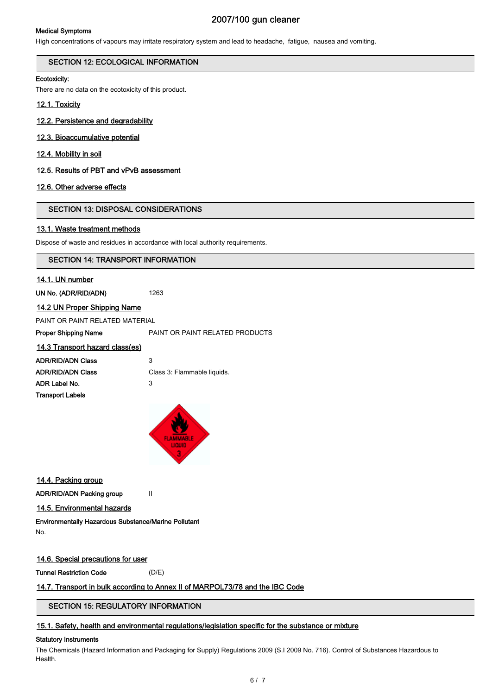#### Medical Symptoms

# 2007/100 gun cleaner

High concentrations of vapours may irritate respiratory system and lead to headache, fatigue, nausea and vomiting.

#### SECTION 12: ECOLOGICAL INFORMATION

#### Ecotoxicity:

There are no data on the ecotoxicity of this product.

#### 12.1. Toxicity

# 12.2. Persistence and degradability

# 12.3. Bioaccumulative potential

12.4. Mobility in soil

#### 12.5. Results of PBT and vPvB assessment

#### 12.6. Other adverse effects

## SECTION 13: DISPOSAL CONSIDERATIONS

#### 13.1. Waste treatment methods

Dispose of waste and residues in accordance with local authority requirements.

#### SECTION 14: TRANSPORT INFORMATION

#### 14.1. UN number

UN No. (ADR/RID/ADN) 1263

#### 14.2 UN Proper Shipping Name

PAINT OR PAINT RELATED MATERIAL

Proper Shipping Name **PAINT OR PAINT RELATED PRODUCTS** 

#### 14.3 Transport hazard class(es)

| ADR/RID/ADN Class       | 3                           |
|-------------------------|-----------------------------|
| ADR/RID/ADN Class       | Class 3: Flammable liquids. |
| ADR Label No.           | 3                           |
| <b>Transport Labels</b> |                             |
|                         |                             |



14.4. Packing group

ADR/RID/ADN Packing group II

14.5. Environmental hazards

# Environmentally Hazardous Substance/Marine Pollutant

No.

14.6. Special precautions for user

Tunnel Restriction Code (D/E)

## 14.7. Transport in bulk according to Annex II of MARPOL73/78 and the IBC Code

# SECTION 15: REGULATORY INFORMATION

## 15.1. Safety, health and environmental regulations/legislation specific for the substance or mixture

#### Statutory Instruments

The Chemicals (Hazard Information and Packaging for Supply) Regulations 2009 (S.I 2009 No. 716). Control of Substances Hazardous to Health.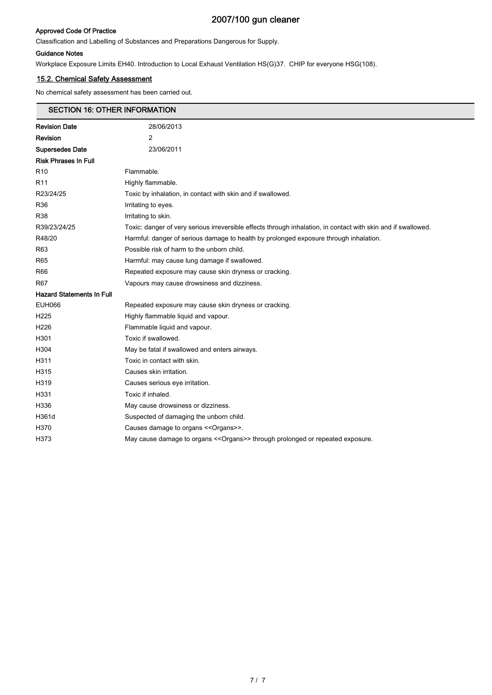## Approved Code Of Practice

Classification and Labelling of Substances and Preparations Dangerous for Supply.

#### Guidance Notes

Ē

Workplace Exposure Limits EH40. Introduction to Local Exhaust Ventilation HS(G)37. CHIP for everyone HSG(108).

# 15.2. Chemical Safety Assessment

No chemical safety assessment has been carried out.

| <b>SECTION 16: OTHER INFORMATION</b> |                                                                                                               |  |  |
|--------------------------------------|---------------------------------------------------------------------------------------------------------------|--|--|
| <b>Revision Date</b>                 | 28/06/2013                                                                                                    |  |  |
| Revision                             | 2                                                                                                             |  |  |
| <b>Supersedes Date</b>               | 23/06/2011                                                                                                    |  |  |
| <b>Risk Phrases In Full</b>          |                                                                                                               |  |  |
| R10                                  | Flammable.                                                                                                    |  |  |
| R11                                  | Highly flammable.                                                                                             |  |  |
| R23/24/25                            | Toxic by inhalation, in contact with skin and if swallowed.                                                   |  |  |
| R36                                  | Irritating to eyes.                                                                                           |  |  |
| R38                                  | Irritating to skin.                                                                                           |  |  |
| R39/23/24/25                         | Toxic: danger of very serious irreversible effects through inhalation, in contact with skin and if swallowed. |  |  |
| R48/20                               | Harmful: danger of serious damage to health by prolonged exposure through inhalation.                         |  |  |
| R63                                  | Possible risk of harm to the unborn child.                                                                    |  |  |
| R65                                  | Harmful: may cause lung damage if swallowed.                                                                  |  |  |
| R66                                  | Repeated exposure may cause skin dryness or cracking.                                                         |  |  |
| R67                                  | Vapours may cause drowsiness and dizziness.                                                                   |  |  |
| <b>Hazard Statements In Full</b>     |                                                                                                               |  |  |
| EUH066                               | Repeated exposure may cause skin dryness or cracking.                                                         |  |  |
| H225                                 | Highly flammable liquid and vapour.                                                                           |  |  |
| H226                                 | Flammable liquid and vapour.                                                                                  |  |  |
| H301                                 | Toxic if swallowed.                                                                                           |  |  |
| H304                                 | May be fatal if swallowed and enters airways.                                                                 |  |  |
| H311                                 | Toxic in contact with skin.                                                                                   |  |  |
| H315                                 | Causes skin irritation.                                                                                       |  |  |
| H319                                 | Causes serious eye irritation.                                                                                |  |  |
| H331                                 | Toxic if inhaled.                                                                                             |  |  |
| H336                                 | May cause drowsiness or dizziness.                                                                            |  |  |
| H361d                                | Suspected of damaging the unborn child.                                                                       |  |  |
| H370                                 | Causes damage to organs << Organs>>.                                                                          |  |  |
| H373                                 | May cause damage to organs << Organs>> through prolonged or repeated exposure.                                |  |  |
|                                      |                                                                                                               |  |  |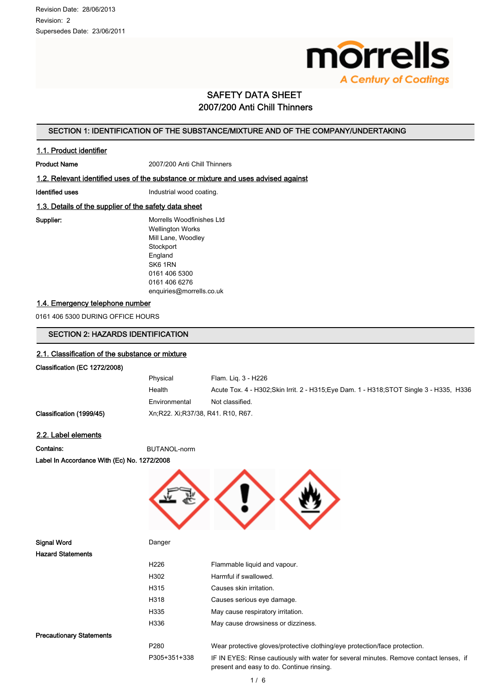

# SAFETY DATA SHEET 2007/200 Anti Chill Thinners

# SECTION 1: IDENTIFICATION OF THE SUBSTANCE/MIXTURE AND OF THE COMPANY/UNDERTAKING

#### 1.1. Product identifier

Product Name 2007/200 Anti Chill Thinners

#### 1.2. Relevant identified uses of the substance or mixture and uses advised against

Identified uses **Industrial wood coating.** 

#### 1.3. Details of the supplier of the safety data sheet

Supplier: Morrells Woodfinishes Ltd Wellington Works Mill Lane, Woodley **Stockport** England SK6 1RN 0161 406 5300 0161 406 6276 enquiries@morrells.co.uk

#### 1.4. Emergency telephone number

0161 406 5300 DURING OFFICE HOURS

# SECTION 2: HAZARDS IDENTIFICATION

#### 2.1. Classification of the substance or mixture

#### Classification (EC 1272/2008)

| Physical                            | Flam. Lig. 3 - H226                                                                      |
|-------------------------------------|------------------------------------------------------------------------------------------|
| Health                              | Acute Tox. 4 - H302; Skin Irrit. 2 - H315; Eye Dam. 1 - H318; STOT Single 3 - H335, H336 |
| Environmental                       | Not classified.                                                                          |
| Xn, R22. Xi, R37/38, R41, R10, R67. |                                                                                          |

#### 2.2. Label elements

Classification (1999/45)

Contains: BUTANOL-norm

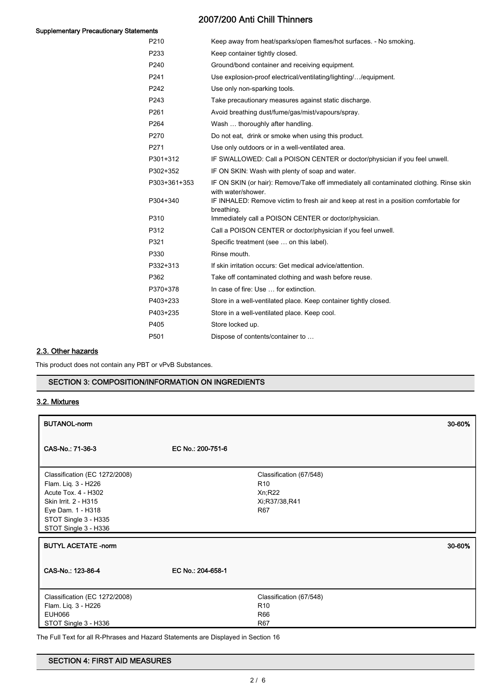# Supplementary Precautionary Statements

# 2007/200 Anti Chill Thinners

| 51 I LD          |                                                                                                               |
|------------------|---------------------------------------------------------------------------------------------------------------|
| P210             | Keep away from heat/sparks/open flames/hot surfaces. - No smoking.                                            |
| P233             | Keep container tightly closed.                                                                                |
| P <sub>240</sub> | Ground/bond container and receiving equipment.                                                                |
| P241             | Use explosion-proof electrical/ventilating/lighting//equipment.                                               |
| P242             | Use only non-sparking tools.                                                                                  |
| P243             | Take precautionary measures against static discharge.                                                         |
| P <sub>261</sub> | Avoid breathing dust/fume/gas/mist/vapours/spray.                                                             |
| P <sub>264</sub> | Wash  thoroughly after handling.                                                                              |
| P270             | Do not eat, drink or smoke when using this product.                                                           |
| P271             | Use only outdoors or in a well-ventilated area.                                                               |
| P301+312         | IF SWALLOWED: Call a POISON CENTER or doctor/physician if you feel unwell.                                    |
| P302+352         | IF ON SKIN: Wash with plenty of soap and water.                                                               |
| P303+361+353     | IF ON SKIN (or hair): Remove/Take off immediately all contaminated clothing. Rinse skin<br>with water/shower. |
| P304+340         | IF INHALED: Remove victim to fresh air and keep at rest in a position comfortable for<br>breathing.           |
| P310             | Immediately call a POISON CENTER or doctor/physician.                                                         |
| P312             | Call a POISON CENTER or doctor/physician if you feel unwell.                                                  |
| P321             | Specific treatment (see  on this label).                                                                      |
| P330             | Rinse mouth.                                                                                                  |
| P332+313         | If skin irritation occurs: Get medical advice/attention.                                                      |
| P362             | Take off contaminated clothing and wash before reuse.                                                         |
| P370+378         | In case of fire: Use  for extinction.                                                                         |
| P403+233         | Store in a well-ventilated place. Keep container tightly closed.                                              |
| P403+235         | Store in a well-ventilated place. Keep cool.                                                                  |
| P405             | Store locked up.                                                                                              |
| P501             | Dispose of contents/container to                                                                              |
|                  |                                                                                                               |

# 2.3. Other hazards

This product does not contain any PBT or vPvB Substances.

#### SECTION 3: COMPOSITION/INFORMATION ON INGREDIENTS

## 3.2. Mixtures

| <b>BUTANOL-norm</b>                         |                   |                          | 30-60% |
|---------------------------------------------|-------------------|--------------------------|--------|
| CAS-No.: 71-36-3                            | EC No.: 200-751-6 |                          |        |
| Classification (EC 1272/2008)               |                   | Classification (67/548)  |        |
| Flam. Liq. 3 - H226                         |                   | R <sub>10</sub>          |        |
| Acute Tox. 4 - H302<br>Skin Irrit. 2 - H315 |                   | Xn; R22<br>Xi;R37/38,R41 |        |
| Eye Dam. 1 - H318                           |                   | R67                      |        |
| STOT Single 3 - H335                        |                   |                          |        |
| STOT Single 3 - H336                        |                   |                          |        |
| <b>BUTYL ACETATE -norm</b>                  |                   |                          | 30-60% |
| CAS-No.: 123-86-4                           | EC No.: 204-658-1 |                          |        |
| Classification (EC 1272/2008)               |                   | Classification (67/548)  |        |
| Flam. Liq. 3 - H226                         |                   | R <sub>10</sub>          |        |
| <b>EUH066</b>                               |                   | R66                      |        |
| STOT Single 3 - H336                        |                   | <b>R67</b>               |        |

The Full Text for all R-Phrases and Hazard Statements are Displayed in Section 16

# SECTION 4: FIRST AID MEASURES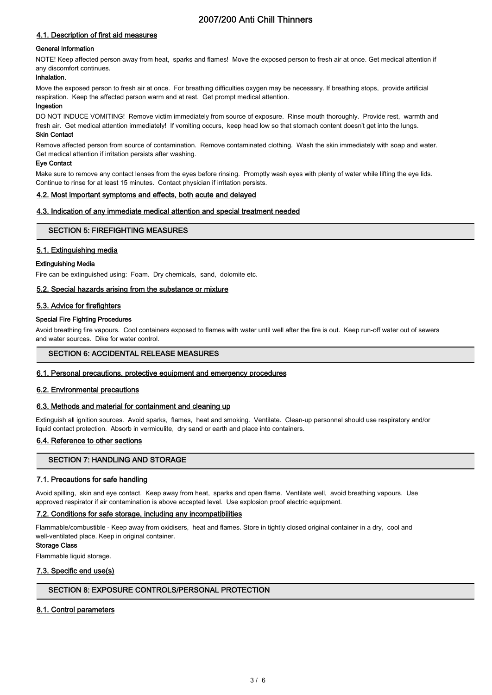# 2007/200 Anti Chill Thinners

# 4.1. Description of first aid measures

## General Information

NOTE! Keep affected person away from heat, sparks and flames! Move the exposed person to fresh air at once. Get medical attention if any discomfort continues.

# Inhalation.

Move the exposed person to fresh air at once. For breathing difficulties oxygen may be necessary. If breathing stops, provide artificial respiration. Keep the affected person warm and at rest. Get prompt medical attention.

## Ingestion

DO NOT INDUCE VOMITING! Remove victim immediately from source of exposure. Rinse mouth thoroughly. Provide rest, warmth and fresh air. Get medical attention immediately! If vomiting occurs, keep head low so that stomach content doesn't get into the lungs.

#### Skin Contact

Remove affected person from source of contamination. Remove contaminated clothing. Wash the skin immediately with soap and water. Get medical attention if irritation persists after washing.

#### Eye Contact

Make sure to remove any contact lenses from the eyes before rinsing. Promptly wash eyes with plenty of water while lifting the eye lids. Continue to rinse for at least 15 minutes. Contact physician if irritation persists.

## 4.2. Most important symptoms and effects, both acute and delayed

## 4.3. Indication of any immediate medical attention and special treatment needed

## SECTION 5: FIREFIGHTING MEASURES

## 5.1. Extinguishing media

#### Extinguishing Media

Fire can be extinguished using: Foam. Dry chemicals, sand, dolomite etc.

#### 5.2. Special hazards arising from the substance or mixture

## 5.3. Advice for firefighters

## Special Fire Fighting Procedures

Avoid breathing fire vapours. Cool containers exposed to flames with water until well after the fire is out. Keep run-off water out of sewers and water sources. Dike for water control.

## SECTION 6: ACCIDENTAL RELEASE MEASURES

#### 6.1. Personal precautions, protective equipment and emergency procedures

## 6.2. Environmental precautions

#### 6.3. Methods and material for containment and cleaning up

Extinguish all ignition sources. Avoid sparks, flames, heat and smoking. Ventilate. Clean-up personnel should use respiratory and/or liquid contact protection. Absorb in vermiculite, dry sand or earth and place into containers.

## 6.4. Reference to other sections

# SECTION 7: HANDLING AND STORAGE

## 7.1. Precautions for safe handling

Avoid spilling, skin and eye contact. Keep away from heat, sparks and open flame. Ventilate well, avoid breathing vapours. Use approved respirator if air contamination is above accepted level. Use explosion proof electric equipment.

## 7.2. Conditions for safe storage, including any incompatibilities

Flammable/combustible - Keep away from oxidisers, heat and flames. Store in tightly closed original container in a dry, cool and well-ventilated place. Keep in original container.

#### Storage Class

Flammable liquid storage.

## 7.3. Specific end use(s)

# SECTION 8: EXPOSURE CONTROLS/PERSONAL PROTECTION

## 8.1. Control parameters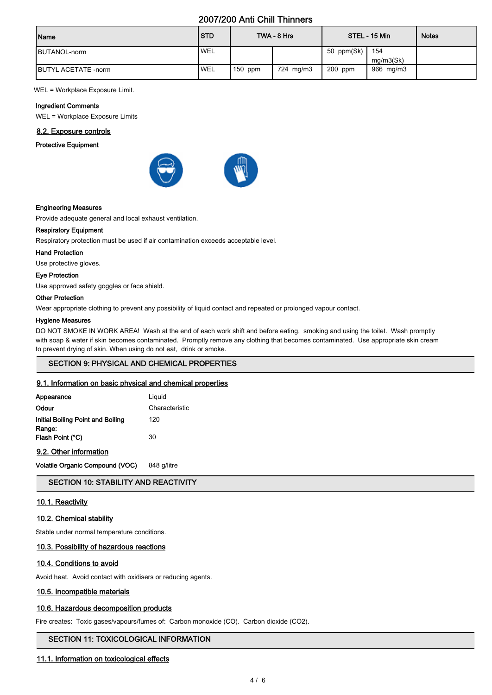# 2007/200 Anti Chill Thinners

| Name                        | <b>STD</b> |           | TWA - 8 Hrs |            | STEL - 15 Min | <b>Notes</b> |
|-----------------------------|------------|-----------|-------------|------------|---------------|--------------|
| <b>IBUTANOL-norm</b>        | <b>WEL</b> |           |             | 50 ppm(Sk) | 154           |              |
|                             |            |           |             |            | mq/m3(Sk)     |              |
| <b>IBUTYL ACETATE -norm</b> | <b>WEL</b> | $150$ ppm | 724 mg/m3   | $200$ ppm  | 966 mg/m3     |              |

WEL = Workplace Exposure Limit.

#### Ingredient Comments

WEL = Workplace Exposure Limits

#### 8.2. Exposure controls

Protective Equipment



#### Engineering Measures

Provide adequate general and local exhaust ventilation.

#### Respiratory Equipment

Respiratory protection must be used if air contamination exceeds acceptable level.

#### Hand Protection

Use protective gloves.

#### Eye Protection

Use approved safety goggles or face shield.

#### Other Protection

Wear appropriate clothing to prevent any possibility of liquid contact and repeated or prolonged vapour contact.

#### Hygiene Measures

DO NOT SMOKE IN WORK AREA! Wash at the end of each work shift and before eating, smoking and using the toilet. Wash promptly with soap & water if skin becomes contaminated. Promptly remove any clothing that becomes contaminated. Use appropriate skin cream to prevent drying of skin. When using do not eat, drink or smoke.

#### SECTION 9: PHYSICAL AND CHEMICAL PROPERTIES

#### 9.1. Information on basic physical and chemical properties

| Appearance                                  | Liguid         |
|---------------------------------------------|----------------|
| Odour                                       | Characteristic |
| Initial Boiling Point and Boiling<br>Range: | 120            |
| Flash Point (°C)                            | 30             |

9.2. Other information

Volatile Organic Compound (VOC) 848 g/litre

#### SECTION 10: STABILITY AND REACTIVITY

#### 10.1. Reactivity

#### 10.2. Chemical stability

Stable under normal temperature conditions.

# 10.3. Possibility of hazardous reactions

#### 10.4. Conditions to avoid

Avoid heat. Avoid contact with oxidisers or reducing agents.

#### 10.5. Incompatible materials

#### 10.6. Hazardous decomposition products

Fire creates: Toxic gases/vapours/fumes of: Carbon monoxide (CO). Carbon dioxide (CO2).

#### SECTION 11: TOXICOLOGICAL INFORMATION

#### 11.1. Information on toxicological effects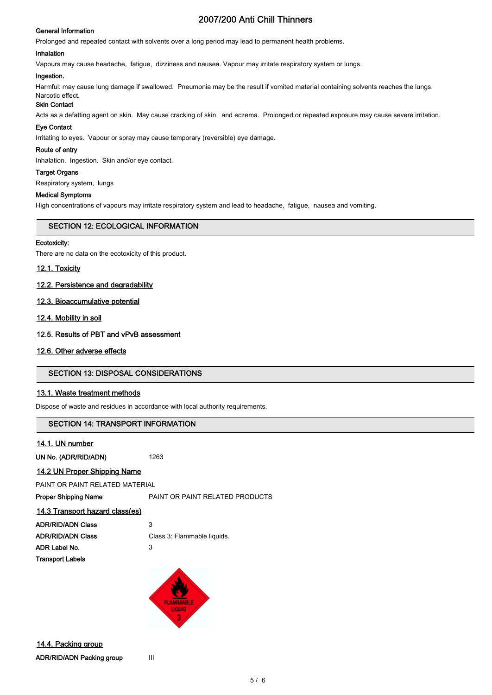#### General Information

# 2007/200 Anti Chill Thinners

Prolonged and repeated contact with solvents over a long period may lead to permanent health problems.

#### Inhalation

Vapours may cause headache, fatigue, dizziness and nausea. Vapour may irritate respiratory system or lungs.

#### Ingestion.

Harmful: may cause lung damage if swallowed. Pneumonia may be the result if vomited material containing solvents reaches the lungs.

#### Narcotic effect. Skin Contact

Acts as a defatting agent on skin. May cause cracking of skin, and eczema. Prolonged or repeated exposure may cause severe irritation.

#### Eye Contact

Irritating to eyes. Vapour or spray may cause temporary (reversible) eye damage.

#### Route of entry

Inhalation. Ingestion. Skin and/or eye contact.

#### Target Organs

Respiratory system, lungs

# Medical Symptoms

High concentrations of vapours may irritate respiratory system and lead to headache, fatigue, nausea and vomiting.

#### SECTION 12: ECOLOGICAL INFORMATION

#### Ecotoxicity:

There are no data on the ecotoxicity of this product.

#### 12.1. Toxicity

#### 12.2. Persistence and degradability

#### 12.3. Bioaccumulative potential

12.4. Mobility in soil

## 12.5. Results of PBT and vPvB assessment

#### 12.6. Other adverse effects

## SECTION 13: DISPOSAL CONSIDERATIONS

## 13.1. Waste treatment methods

Dispose of waste and residues in accordance with local authority requirements.

## SECTION 14: TRANSPORT INFORMATION

#### 14.1. UN number

UN No. (ADR/RID/ADN) 1263

## 14.2 UN Proper Shipping Name

PAINT OR PAINT RELATED MATERIAL

Proper Shipping Name **PAINT OR PAINT RELATED PRODUCTS** 

#### 14.3 Transport hazard class(es)

| <b>ADR/RID/ADN Class</b> | 3                           |
|--------------------------|-----------------------------|
| ADR/RID/ADN Class        | Class 3: Flammable liquids. |
| ADR Label No.            | 3                           |
| Transport Labels         |                             |

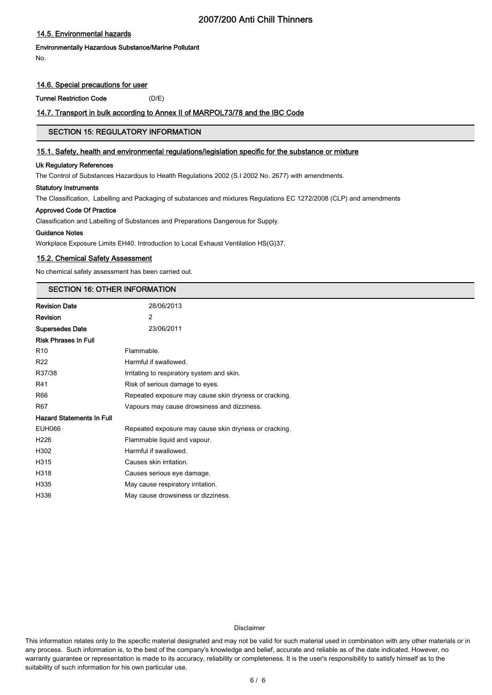# 2007/200 Anti Chill Thinners

## 14.5. Environmental hazards

# Environmentally Hazardous Substance/Marine Pollutant

No.

## 14.6. Special precautions for user

Tunnel Restriction Code (D/E)

#### 14.7. Transport in bulk according to Annex II of MARPOL73/78 and the IBC Code

# SECTION 15: REGULATORY INFORMATION

#### 15.1. Safety, health and environmental regulations/legislation specific for the substance or mixture

#### Uk Regulatory References

The Control of Substances Hazardous to Health Regulations 2002 (S.I 2002 No. 2677) with amendments.

#### Statutory Instruments

The Classification, Labelling and Packaging of substances and mixtures Regulations EC 1272/2008 (CLP) and amendments

#### Approved Code Of Practice

Classification and Labelling of Substances and Preparations Dangerous for Supply.

#### Guidance Notes

Workplace Exposure Limits EH40. Introduction to Local Exhaust Ventilation HS(G)37.

#### 15.2. Chemical Safety Assessment

No chemical safety assessment has been carried out.

#### SECTION 16: OTHER INFORMATION

| <b>Revision Date</b>             | 28/06/2013                                            |
|----------------------------------|-------------------------------------------------------|
| Revision                         | $\overline{2}$                                        |
| <b>Supersedes Date</b>           | 23/06/2011                                            |
| <b>Risk Phrases In Full</b>      |                                                       |
| R <sub>10</sub>                  | Flammable.                                            |
| R <sub>22</sub>                  | Harmful if swallowed.                                 |
| R37/38                           | Irritating to respiratory system and skin.            |
| R41                              | Risk of serious damage to eyes.                       |
| R66                              | Repeated exposure may cause skin dryness or cracking. |
| <b>R67</b>                       | Vapours may cause drowsiness and dizziness.           |
| <b>Hazard Statements In Full</b> |                                                       |
| <b>EUH066</b>                    | Repeated exposure may cause skin dryness or cracking. |
| H <sub>226</sub>                 | Flammable liquid and vapour.                          |
| H302                             | Harmful if swallowed.                                 |
| H315                             | Causes skin irritation.                               |
| H318                             | Causes serious eye damage.                            |
| H335                             | May cause respiratory irritation.                     |
| H336                             | May cause drowsiness or dizziness.                    |

#### Disclaimer

This information relates only to the specific material designated and may not be valid for such material used in combination with any other materials or in any process. Such information is, to the best of the company's knowledge and belief, accurate and reliable as of the date indicated. However, no warranty guarantee or representation is made to its accuracy, reliability or completeness. It is the user's responsibility to satisfy himself as to the suitability of such information for his own particular use.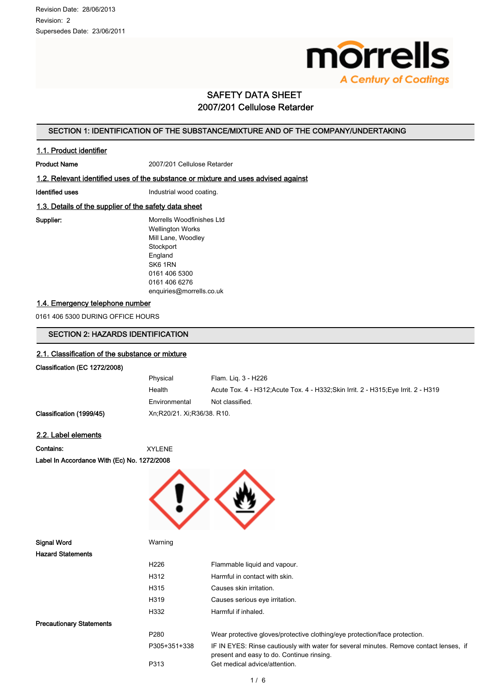

# SAFETY DATA SHEET 2007/201 Cellulose Retarder

# SECTION 1: IDENTIFICATION OF THE SUBSTANCE/MIXTURE AND OF THE COMPANY/UNDERTAKING

#### 1.1. Product identifier

Product Name 2007/201 Cellulose Retarder

#### 1.2. Relevant identified uses of the substance or mixture and uses advised against

Identified uses **Industrial wood coating.** 

## 1.3. Details of the supplier of the safety data sheet

Supplier: Morrells Woodfinishes Ltd Wellington Works Mill Lane, Woodley **Stockport** England SK6 1RN 0161 406 5300 0161 406 6276 enquiries@morrells.co.uk

#### 1.4. Emergency telephone number

0161 406 5300 DURING OFFICE HOURS

# SECTION 2: HAZARDS IDENTIFICATION

#### 2.1. Classification of the substance or mixture

#### Classification (EC 1272/2008)

| Physical                     | Flam. Lig. 3 - H226                                                                 |
|------------------------------|-------------------------------------------------------------------------------------|
| Health                       | Acute Tox. 4 - H312; Acute Tox. 4 - H332; Skin Irrit. 2 - H315; Eye Irrit. 2 - H319 |
| Environmental                | Not classified.                                                                     |
| Xn:R20/21. Xi:R36/38. R10. . |                                                                                     |
|                              |                                                                                     |

#### 2.2. Label elements

Classification (1999/45)

Contains: XYLENE Label In Accordance With (Ec) No. 1272/2008



| Signal Word                     | Warning          |                                                                                                                                     |
|---------------------------------|------------------|-------------------------------------------------------------------------------------------------------------------------------------|
| <b>Hazard Statements</b>        |                  |                                                                                                                                     |
|                                 | H <sub>226</sub> | Flammable liquid and vapour.                                                                                                        |
|                                 | H312             | Harmful in contact with skin.                                                                                                       |
|                                 | H315             | Causes skin irritation.                                                                                                             |
|                                 | H319             | Causes serious eye irritation.                                                                                                      |
|                                 | H332             | Harmful if inhaled.                                                                                                                 |
| <b>Precautionary Statements</b> |                  |                                                                                                                                     |
|                                 | P <sub>280</sub> | Wear protective gloves/protective clothing/eye protection/face protection.                                                          |
|                                 | P305+351+338     | IF IN EYES: Rinse cautiously with water for several minutes. Remove contact lenses, if<br>present and easy to do. Continue rinsing. |
|                                 | P313             | Get medical advice/attention.                                                                                                       |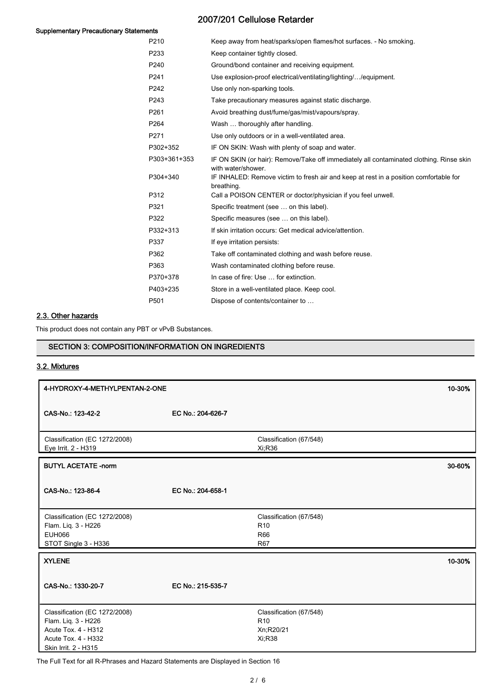# 2007/201 Cellulose Retarder

#### Supplementary Precautionary Statements

| եւռ              |                                                                                                               |
|------------------|---------------------------------------------------------------------------------------------------------------|
| P <sub>210</sub> | Keep away from heat/sparks/open flames/hot surfaces. - No smoking.                                            |
| P233             | Keep container tightly closed.                                                                                |
| P <sub>240</sub> | Ground/bond container and receiving equipment.                                                                |
| P <sub>241</sub> | Use explosion-proof electrical/ventilating/lighting//equipment.                                               |
| P242             | Use only non-sparking tools.                                                                                  |
| P243             | Take precautionary measures against static discharge.                                                         |
| P <sub>261</sub> | Avoid breathing dust/fume/gas/mist/vapours/spray.                                                             |
| P <sub>264</sub> | Wash  thoroughly after handling.                                                                              |
| P <sub>271</sub> | Use only outdoors or in a well-ventilated area.                                                               |
| P302+352         | IF ON SKIN: Wash with plenty of soap and water.                                                               |
| P303+361+353     | IF ON SKIN (or hair): Remove/Take off immediately all contaminated clothing. Rinse skin<br>with water/shower. |
| P304+340         | IF INHALED: Remove victim to fresh air and keep at rest in a position comfortable for<br>breathing.           |
| P312             | Call a POISON CENTER or doctor/physician if you feel unwell.                                                  |
| P321             | Specific treatment (see  on this label).                                                                      |
| P322             | Specific measures (see  on this label).                                                                       |
| P332+313         | If skin irritation occurs: Get medical advice/attention.                                                      |
| P337             | If eye irritation persists:                                                                                   |
| P362             | Take off contaminated clothing and wash before reuse.                                                         |
| P363             | Wash contaminated clothing before reuse.                                                                      |
| P370+378         | In case of fire: Use  for extinction.                                                                         |
| P403+235         | Store in a well-ventilated place. Keep cool.                                                                  |
| P <sub>501</sub> | Dispose of contents/container to                                                                              |

# 2.3. Other hazards

This product does not contain any PBT or vPvB Substances.

# SECTION 3: COMPOSITION/INFORMATION ON INGREDIENTS

# 3.2. Mixtures

| 4-HYDROXY-4-METHYLPENTAN-2-ONE                                                                                             |                   |                                                                        | 10-30% |
|----------------------------------------------------------------------------------------------------------------------------|-------------------|------------------------------------------------------------------------|--------|
| CAS-No.: 123-42-2                                                                                                          | EC No.: 204-626-7 |                                                                        |        |
| Classification (EC 1272/2008)<br>Eye Irrit. 2 - H319                                                                       |                   | Classification (67/548)<br>Xi;R36                                      |        |
| <b>BUTYL ACETATE -norm</b>                                                                                                 |                   |                                                                        | 30-60% |
| CAS-No.: 123-86-4                                                                                                          | EC No.: 204-658-1 |                                                                        |        |
| Classification (EC 1272/2008)<br>Flam. Liq. 3 - H226<br><b>EUH066</b><br>STOT Single 3 - H336                              |                   | Classification (67/548)<br>R <sub>10</sub><br><b>R66</b><br><b>R67</b> |        |
| <b>XYLENE</b>                                                                                                              |                   |                                                                        | 10-30% |
| CAS-No.: 1330-20-7                                                                                                         | EC No.: 215-535-7 |                                                                        |        |
| Classification (EC 1272/2008)<br>Flam. Liq. 3 - H226<br>Acute Tox. 4 - H312<br>Acute Tox. 4 - H332<br>Skin Irrit. 2 - H315 |                   | Classification (67/548)<br>R <sub>10</sub><br>Xn;R20/21<br>Xi:R38      |        |

The Full Text for all R-Phrases and Hazard Statements are Displayed in Section 16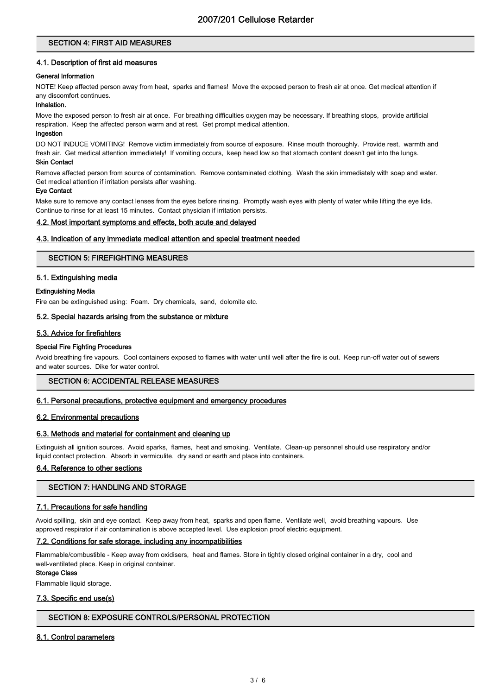# SECTION 4: FIRST AID MEASURES

#### 4.1. Description of first aid measures

#### General Information

NOTE! Keep affected person away from heat, sparks and flames! Move the exposed person to fresh air at once. Get medical attention if any discomfort continues.

#### Inhalation.

Move the exposed person to fresh air at once. For breathing difficulties oxygen may be necessary. If breathing stops, provide artificial respiration. Keep the affected person warm and at rest. Get prompt medical attention.

#### Ingestion

DO NOT INDUCE VOMITING! Remove victim immediately from source of exposure. Rinse mouth thoroughly. Provide rest, warmth and fresh air. Get medical attention immediately! If vomiting occurs, keep head low so that stomach content doesn't get into the lungs. Skin Contact

Remove affected person from source of contamination. Remove contaminated clothing. Wash the skin immediately with soap and water. Get medical attention if irritation persists after washing.

#### Eye Contact

Make sure to remove any contact lenses from the eyes before rinsing. Promptly wash eyes with plenty of water while lifting the eye lids. Continue to rinse for at least 15 minutes. Contact physician if irritation persists.

#### 4.2. Most important symptoms and effects, both acute and delayed

#### 4.3. Indication of any immediate medical attention and special treatment needed

#### SECTION 5: FIREFIGHTING MEASURES

#### 5.1. Extinguishing media

#### Extinguishing Media

Fire can be extinguished using: Foam. Dry chemicals, sand, dolomite etc.

#### 5.2. Special hazards arising from the substance or mixture

#### 5.3. Advice for firefighters

#### Special Fire Fighting Procedures

Avoid breathing fire vapours. Cool containers exposed to flames with water until well after the fire is out. Keep run-off water out of sewers and water sources. Dike for water control.

#### SECTION 6: ACCIDENTAL RELEASE MEASURES

#### 6.1. Personal precautions, protective equipment and emergency procedures

#### 6.2. Environmental precautions

#### 6.3. Methods and material for containment and cleaning up

Extinguish all ignition sources. Avoid sparks, flames, heat and smoking. Ventilate. Clean-up personnel should use respiratory and/or liquid contact protection. Absorb in vermiculite, dry sand or earth and place into containers.

#### 6.4. Reference to other sections

#### SECTION 7: HANDLING AND STORAGE

#### 7.1. Precautions for safe handling

Avoid spilling, skin and eye contact. Keep away from heat, sparks and open flame. Ventilate well, avoid breathing vapours. Use approved respirator if air contamination is above accepted level. Use explosion proof electric equipment.

#### 7.2. Conditions for safe storage, including any incompatibilities

Flammable/combustible - Keep away from oxidisers, heat and flames. Store in tightly closed original container in a dry, cool and well-ventilated place. Keep in original container.

# Storage Class

Flammable liquid storage.

#### 7.3. Specific end use(s)

## SECTION 8: EXPOSURE CONTROLS/PERSONAL PROTECTION

#### 8.1. Control parameters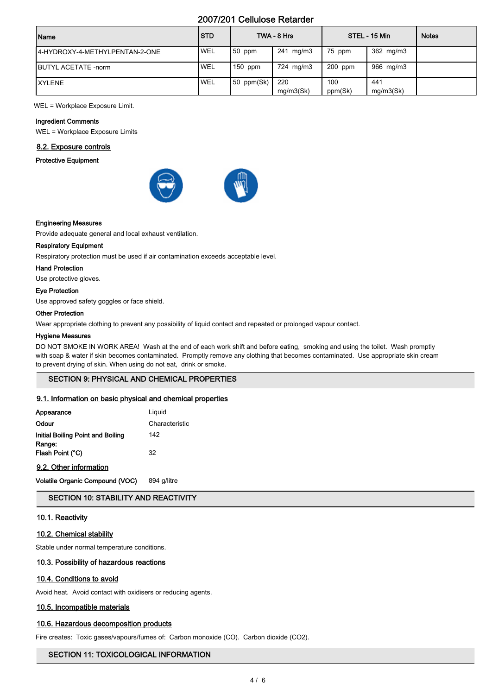# 2007/201 Cellulose Retarder

| Name                            | <b>STD</b> |            | TWA - 8 Hrs |           | STEL - 15 Min | <b>Notes</b> |
|---------------------------------|------------|------------|-------------|-----------|---------------|--------------|
| 14-HYDROXY-4-METHYLPENTAN-2-ONE | <b>WEL</b> | $50$ ppm   | 241 mg/m3   | 75 ppm    | 362 mg/m3     |              |
| <b>IBUTYL ACETATE -norm</b>     | 'WEL       | $150$ ppm  | 724 mg/m3   | $200$ ppm | 966 mg/m3     |              |
| <b>IXYLENE</b>                  | WEL        | 50 ppm(Sk) | 220         | 100       | 441           |              |
|                                 |            |            | mq/m3(Sk)   | ppm(Sk)   | mq/m3(Sk)     |              |

WEL = Workplace Exposure Limit.

#### Ingredient Comments

WEL = Workplace Exposure Limits

#### 8.2. Exposure controls

Protective Equipment





Provide adequate general and local exhaust ventilation.

#### Respiratory Equipment

Respiratory protection must be used if air contamination exceeds acceptable level.

#### Hand Protection

Use protective gloves.

#### Eye Protection

Use approved safety goggles or face shield.

#### Other Protection

Wear appropriate clothing to prevent any possibility of liquid contact and repeated or prolonged vapour contact.

#### Hygiene Measures

DO NOT SMOKE IN WORK AREA! Wash at the end of each work shift and before eating, smoking and using the toilet. Wash promptly with soap & water if skin becomes contaminated. Promptly remove any clothing that becomes contaminated. Use appropriate skin cream to prevent drying of skin. When using do not eat, drink or smoke.

# SECTION 9: PHYSICAL AND CHEMICAL PROPERTIES

#### 9.1. Information on basic physical and chemical properties

| Appearance                        | Liguid         |
|-----------------------------------|----------------|
| Odour                             | Characteristic |
| Initial Boiling Point and Boiling | 142            |
| Range:<br>Flash Point (°C)        | 32             |

#### 9.2. Other information

Volatile Organic Compound (VOC) 894 g/litre

SECTION 10: STABILITY AND REACTIVITY

#### 10.1. Reactivity

#### 10.2. Chemical stability

Stable under normal temperature conditions.

#### 10.3. Possibility of hazardous reactions

#### 10.4. Conditions to avoid

Avoid heat. Avoid contact with oxidisers or reducing agents.

# 10.5. Incompatible materials

#### 10.6. Hazardous decomposition products

Fire creates: Toxic gases/vapours/fumes of: Carbon monoxide (CO). Carbon dioxide (CO2).

# SECTION 11: TOXICOLOGICAL INFORMATION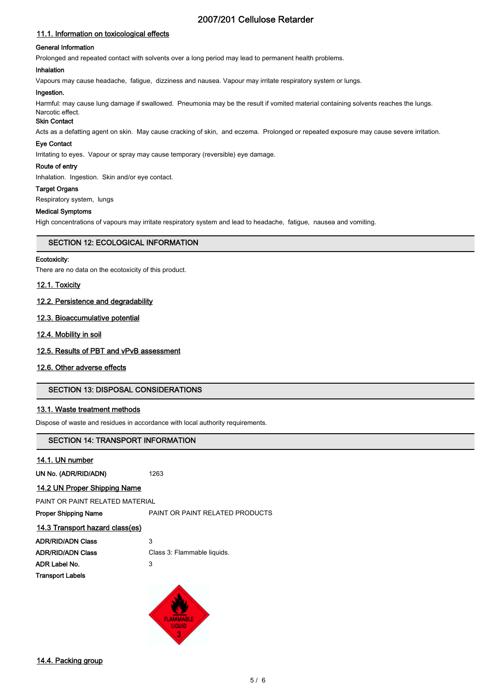# 2007/201 Cellulose Retarder

# 11.1. Information on toxicological effects

#### General Information

Prolonged and repeated contact with solvents over a long period may lead to permanent health problems.

#### Inhalation

Vapours may cause headache, fatigue, dizziness and nausea. Vapour may irritate respiratory system or lungs.

#### Ingestion.

Harmful: may cause lung damage if swallowed. Pneumonia may be the result if vomited material containing solvents reaches the lungs. Narcotic effect.

# Skin Contact

Acts as a defatting agent on skin. May cause cracking of skin, and eczema. Prolonged or repeated exposure may cause severe irritation.

#### Eye Contact

Irritating to eyes. Vapour or spray may cause temporary (reversible) eye damage.

#### Route of entry

Inhalation. Ingestion. Skin and/or eye contact.

#### Target Organs

Respiratory system, lungs

#### Medical Symptoms

High concentrations of vapours may irritate respiratory system and lead to headache, fatigue, nausea and vomiting.

#### SECTION 12: ECOLOGICAL INFORMATION

#### Ecotoxicity:

There are no data on the ecotoxicity of this product.

#### 12.1. Toxicity

#### 12.2. Persistence and degradability

#### 12.3. Bioaccumulative potential

#### 12.4. Mobility in soil

#### 12.5. Results of PBT and vPvB assessment

## 12.6. Other adverse effects

## SECTION 13: DISPOSAL CONSIDERATIONS

## 13.1. Waste treatment methods

Dispose of waste and residues in accordance with local authority requirements.

## SECTION 14: TRANSPORT INFORMATION

#### 14.1. UN number

UN No. (ADR/RID/ADN) 1263

#### 14.2 UN Proper Shipping Name

PAINT OR PAINT RELATED MATERIAL

Proper Shipping Name **PAINT OR PAINT RELATED PRODUCTS** 

#### 14.3 Transport hazard class(es)

| <b>ADR/RID/ADN Class</b> | 3                           |
|--------------------------|-----------------------------|
| <b>ADR/RID/ADN Class</b> | Class 3: Flammable liquids. |
| ADR Label No.            | 3                           |
| <b>Transport Labels</b>  |                             |
|                          |                             |